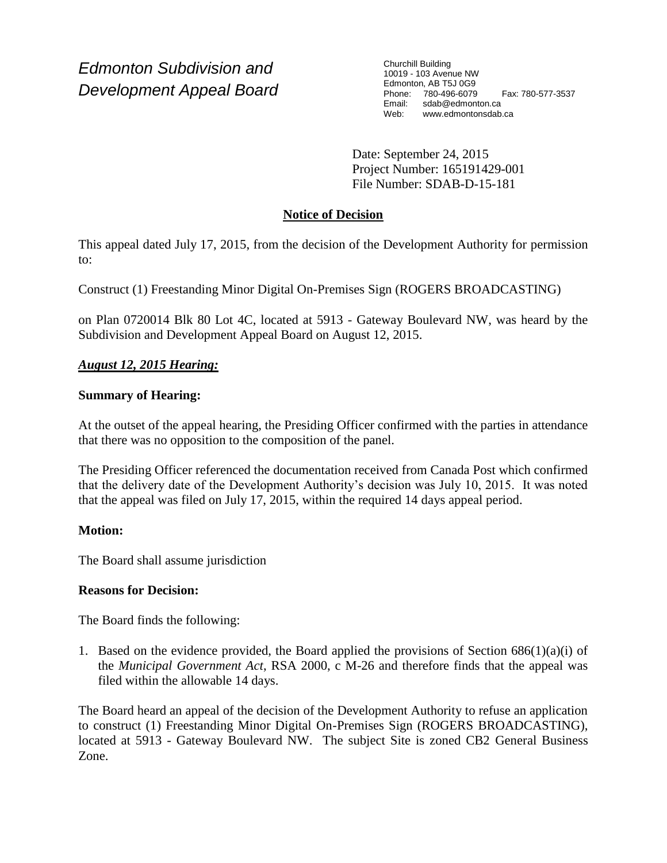*Edmonton Subdivision and Development Appeal Board* Churchill Building 10019 - 103 Avenue NW Edmonton, AB T5J 0G9 Phone: 780-496-6079 Fax: 780-577-3537 sdab@edmonton.ca Web: www.edmontonsdab.ca

Date: September 24, 2015 Project Number: 165191429-001 File Number: SDAB-D-15-181

# **Notice of Decision**

This appeal dated July 17, 2015, from the decision of the Development Authority for permission to:

Construct (1) Freestanding Minor Digital On-Premises Sign (ROGERS BROADCASTING)

on Plan 0720014 Blk 80 Lot 4C, located at 5913 - Gateway Boulevard NW, was heard by the Subdivision and Development Appeal Board on August 12, 2015.

# *August 12, 2015 Hearing:*

# **Summary of Hearing:**

At the outset of the appeal hearing, the Presiding Officer confirmed with the parties in attendance that there was no opposition to the composition of the panel.

The Presiding Officer referenced the documentation received from Canada Post which confirmed that the delivery date of the Development Authority's decision was July 10, 2015. It was noted that the appeal was filed on July 17, 2015, within the required 14 days appeal period.

### **Motion:**

The Board shall assume jurisdiction

# **Reasons for Decision:**

The Board finds the following:

1. Based on the evidence provided, the Board applied the provisions of Section  $686(1)(a)(i)$  of the *Municipal Government Act*, RSA 2000, c M-26 and therefore finds that the appeal was filed within the allowable 14 days.

The Board heard an appeal of the decision of the Development Authority to refuse an application to construct (1) Freestanding Minor Digital On-Premises Sign (ROGERS BROADCASTING), located at 5913 - Gateway Boulevard NW. The subject Site is zoned CB2 General Business Zone.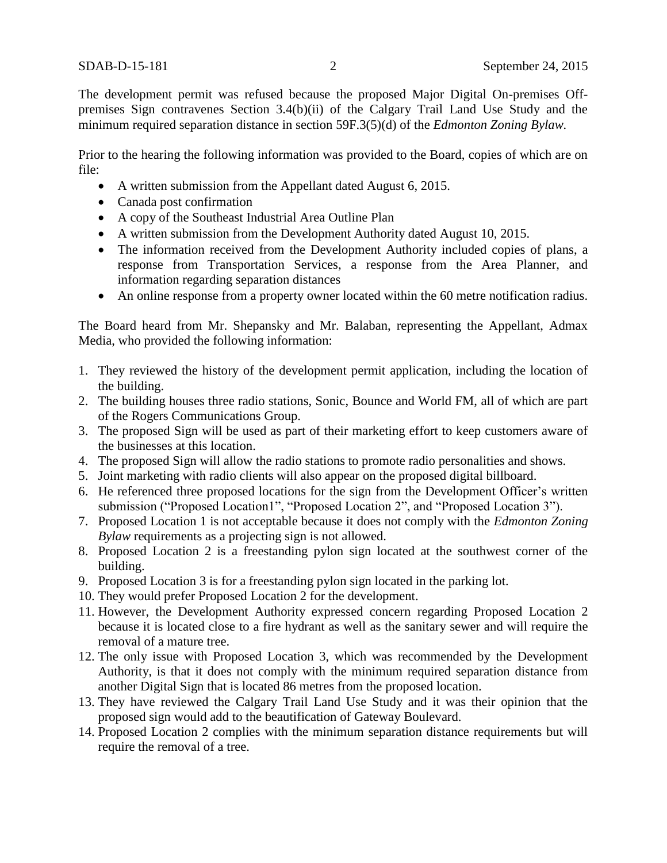The development permit was refused because the proposed Major Digital On-premises Offpremises Sign contravenes Section 3.4(b)(ii) of the Calgary Trail Land Use Study and the minimum required separation distance in section 59F.3(5)(d) of the *Edmonton Zoning Bylaw.*

Prior to the hearing the following information was provided to the Board, copies of which are on file:

- A written submission from the Appellant dated August 6, 2015.
- Canada post confirmation
- A copy of the Southeast Industrial Area Outline Plan
- A written submission from the Development Authority dated August 10, 2015.
- The information received from the Development Authority included copies of plans, a response from Transportation Services, a response from the Area Planner, and information regarding separation distances
- An online response from a property owner located within the 60 metre notification radius.

The Board heard from Mr. Shepansky and Mr. Balaban, representing the Appellant, Admax Media, who provided the following information:

- 1. They reviewed the history of the development permit application, including the location of the building.
- 2. The building houses three radio stations, Sonic, Bounce and World FM, all of which are part of the Rogers Communications Group.
- 3. The proposed Sign will be used as part of their marketing effort to keep customers aware of the businesses at this location.
- 4. The proposed Sign will allow the radio stations to promote radio personalities and shows.
- 5. Joint marketing with radio clients will also appear on the proposed digital billboard.
- 6. He referenced three proposed locations for the sign from the Development Officer's written submission ("Proposed Location1", "Proposed Location 2", and "Proposed Location 3").
- 7. Proposed Location 1 is not acceptable because it does not comply with the *Edmonton Zoning Bylaw* requirements as a projecting sign is not allowed.
- 8. Proposed Location 2 is a freestanding pylon sign located at the southwest corner of the building.
- 9. Proposed Location 3 is for a freestanding pylon sign located in the parking lot.
- 10. They would prefer Proposed Location 2 for the development.
- 11. However, the Development Authority expressed concern regarding Proposed Location 2 because it is located close to a fire hydrant as well as the sanitary sewer and will require the removal of a mature tree.
- 12. The only issue with Proposed Location 3, which was recommended by the Development Authority, is that it does not comply with the minimum required separation distance from another Digital Sign that is located 86 metres from the proposed location.
- 13. They have reviewed the Calgary Trail Land Use Study and it was their opinion that the proposed sign would add to the beautification of Gateway Boulevard.
- 14. Proposed Location 2 complies with the minimum separation distance requirements but will require the removal of a tree.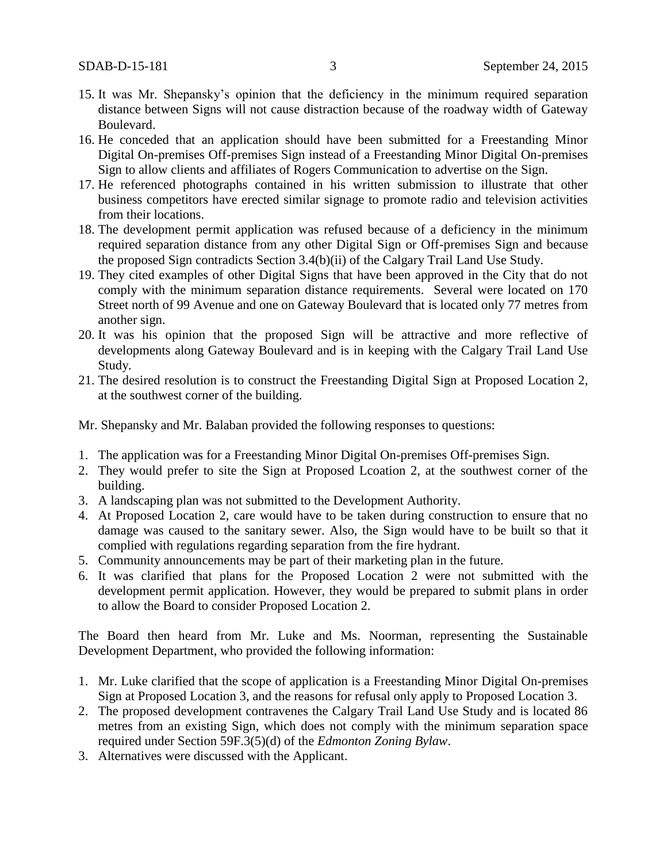- 15. It was Mr. Shepansky's opinion that the deficiency in the minimum required separation distance between Signs will not cause distraction because of the roadway width of Gateway Boulevard.
- 16. He conceded that an application should have been submitted for a Freestanding Minor Digital On-premises Off-premises Sign instead of a Freestanding Minor Digital On-premises Sign to allow clients and affiliates of Rogers Communication to advertise on the Sign.
- 17. He referenced photographs contained in his written submission to illustrate that other business competitors have erected similar signage to promote radio and television activities from their locations.
- 18. The development permit application was refused because of a deficiency in the minimum required separation distance from any other Digital Sign or Off-premises Sign and because the proposed Sign contradicts Section 3.4(b)(ii) of the Calgary Trail Land Use Study.
- 19. They cited examples of other Digital Signs that have been approved in the City that do not comply with the minimum separation distance requirements. Several were located on 170 Street north of 99 Avenue and one on Gateway Boulevard that is located only 77 metres from another sign.
- 20. It was his opinion that the proposed Sign will be attractive and more reflective of developments along Gateway Boulevard and is in keeping with the Calgary Trail Land Use Study.
- 21. The desired resolution is to construct the Freestanding Digital Sign at Proposed Location 2, at the southwest corner of the building.

Mr. Shepansky and Mr. Balaban provided the following responses to questions:

- 1. The application was for a Freestanding Minor Digital On-premises Off-premises Sign.
- 2. They would prefer to site the Sign at Proposed Lcoation 2, at the southwest corner of the building.
- 3. A landscaping plan was not submitted to the Development Authority.
- 4. At Proposed Location 2, care would have to be taken during construction to ensure that no damage was caused to the sanitary sewer. Also, the Sign would have to be built so that it complied with regulations regarding separation from the fire hydrant.
- 5. Community announcements may be part of their marketing plan in the future.
- 6. It was clarified that plans for the Proposed Location 2 were not submitted with the development permit application. However, they would be prepared to submit plans in order to allow the Board to consider Proposed Location 2.

The Board then heard from Mr. Luke and Ms. Noorman, representing the Sustainable Development Department, who provided the following information:

- 1. Mr. Luke clarified that the scope of application is a Freestanding Minor Digital On-premises Sign at Proposed Location 3, and the reasons for refusal only apply to Proposed Location 3.
- 2. The proposed development contravenes the Calgary Trail Land Use Study and is located 86 metres from an existing Sign, which does not comply with the minimum separation space required under Section 59F.3(5)(d) of the *Edmonton Zoning Bylaw*.
- 3. Alternatives were discussed with the Applicant.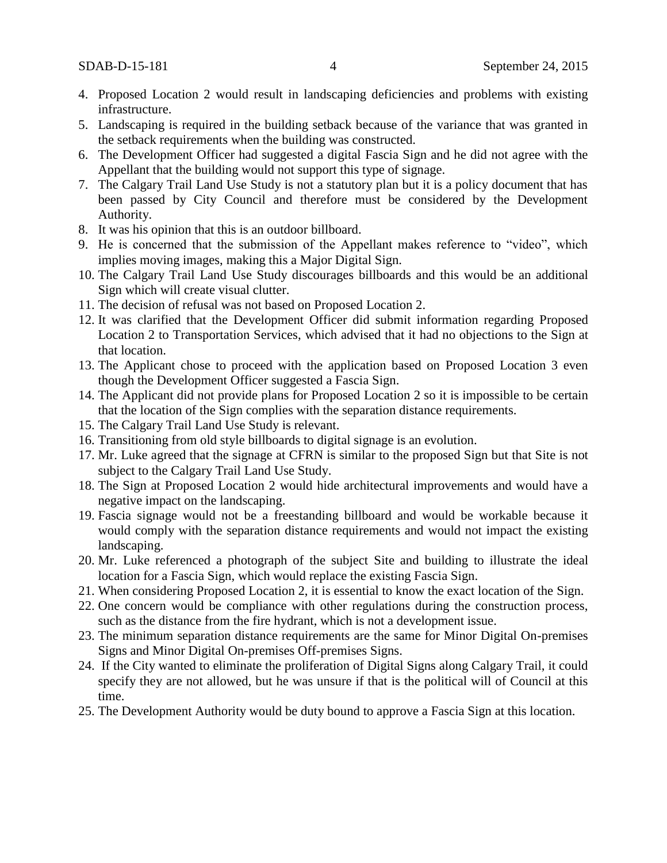- 4. Proposed Location 2 would result in landscaping deficiencies and problems with existing infrastructure.
- 5. Landscaping is required in the building setback because of the variance that was granted in the setback requirements when the building was constructed.
- 6. The Development Officer had suggested a digital Fascia Sign and he did not agree with the Appellant that the building would not support this type of signage.
- 7. The Calgary Trail Land Use Study is not a statutory plan but it is a policy document that has been passed by City Council and therefore must be considered by the Development Authority.
- 8. It was his opinion that this is an outdoor billboard.
- 9. He is concerned that the submission of the Appellant makes reference to "video", which implies moving images, making this a Major Digital Sign.
- 10. The Calgary Trail Land Use Study discourages billboards and this would be an additional Sign which will create visual clutter.
- 11. The decision of refusal was not based on Proposed Location 2.
- 12. It was clarified that the Development Officer did submit information regarding Proposed Location 2 to Transportation Services, which advised that it had no objections to the Sign at that location.
- 13. The Applicant chose to proceed with the application based on Proposed Location 3 even though the Development Officer suggested a Fascia Sign.
- 14. The Applicant did not provide plans for Proposed Location 2 so it is impossible to be certain that the location of the Sign complies with the separation distance requirements.
- 15. The Calgary Trail Land Use Study is relevant.
- 16. Transitioning from old style billboards to digital signage is an evolution.
- 17. Mr. Luke agreed that the signage at CFRN is similar to the proposed Sign but that Site is not subject to the Calgary Trail Land Use Study.
- 18. The Sign at Proposed Location 2 would hide architectural improvements and would have a negative impact on the landscaping.
- 19. Fascia signage would not be a freestanding billboard and would be workable because it would comply with the separation distance requirements and would not impact the existing landscaping.
- 20. Mr. Luke referenced a photograph of the subject Site and building to illustrate the ideal location for a Fascia Sign, which would replace the existing Fascia Sign.
- 21. When considering Proposed Location 2, it is essential to know the exact location of the Sign.
- 22. One concern would be compliance with other regulations during the construction process, such as the distance from the fire hydrant, which is not a development issue.
- 23. The minimum separation distance requirements are the same for Minor Digital On-premises Signs and Minor Digital On-premises Off-premises Signs.
- 24. If the City wanted to eliminate the proliferation of Digital Signs along Calgary Trail, it could specify they are not allowed, but he was unsure if that is the political will of Council at this time.
- 25. The Development Authority would be duty bound to approve a Fascia Sign at this location.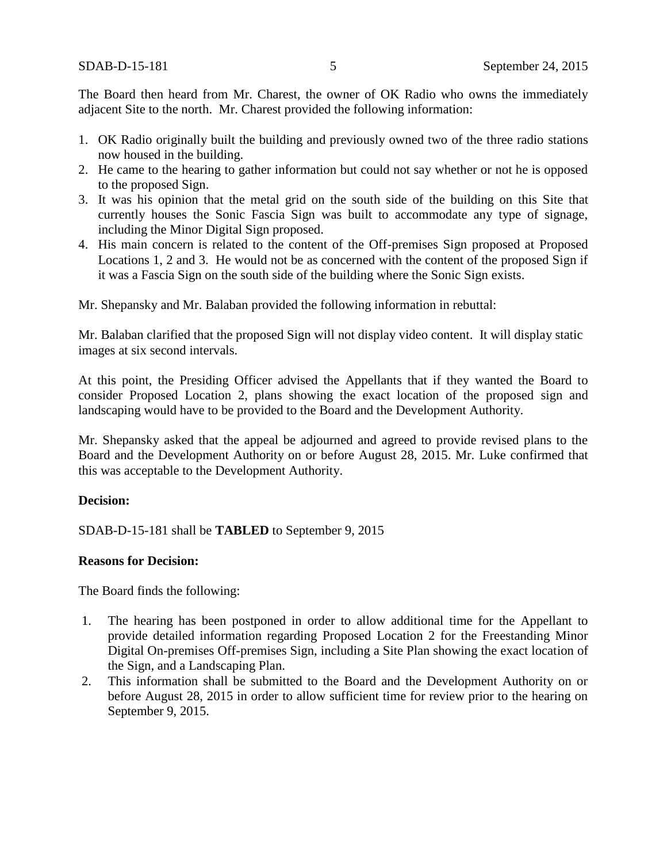The Board then heard from Mr. Charest, the owner of OK Radio who owns the immediately adjacent Site to the north. Mr. Charest provided the following information:

- 1. OK Radio originally built the building and previously owned two of the three radio stations now housed in the building.
- 2. He came to the hearing to gather information but could not say whether or not he is opposed to the proposed Sign.
- 3. It was his opinion that the metal grid on the south side of the building on this Site that currently houses the Sonic Fascia Sign was built to accommodate any type of signage, including the Minor Digital Sign proposed.
- 4. His main concern is related to the content of the Off-premises Sign proposed at Proposed Locations 1, 2 and 3. He would not be as concerned with the content of the proposed Sign if it was a Fascia Sign on the south side of the building where the Sonic Sign exists.

Mr. Shepansky and Mr. Balaban provided the following information in rebuttal:

Mr. Balaban clarified that the proposed Sign will not display video content. It will display static images at six second intervals.

At this point, the Presiding Officer advised the Appellants that if they wanted the Board to consider Proposed Location 2, plans showing the exact location of the proposed sign and landscaping would have to be provided to the Board and the Development Authority.

Mr. Shepansky asked that the appeal be adjourned and agreed to provide revised plans to the Board and the Development Authority on or before August 28, 2015. Mr. Luke confirmed that this was acceptable to the Development Authority.

### **Decision:**

SDAB-D-15-181 shall be **TABLED** to September 9, 2015

### **Reasons for Decision:**

The Board finds the following:

- 1. The hearing has been postponed in order to allow additional time for the Appellant to provide detailed information regarding Proposed Location 2 for the Freestanding Minor Digital On-premises Off-premises Sign, including a Site Plan showing the exact location of the Sign, and a Landscaping Plan.
- 2. This information shall be submitted to the Board and the Development Authority on or before August 28, 2015 in order to allow sufficient time for review prior to the hearing on September 9, 2015.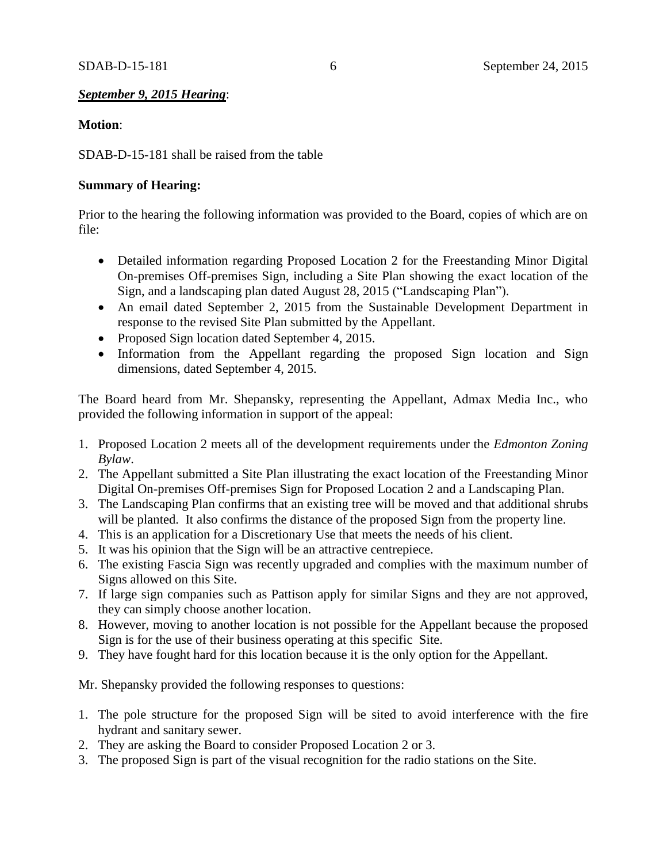### *September 9, 2015 Hearing*:

### **Motion**:

SDAB-D-15-181 shall be raised from the table

### **Summary of Hearing:**

Prior to the hearing the following information was provided to the Board, copies of which are on file:

- Detailed information regarding Proposed Location 2 for the Freestanding Minor Digital On-premises Off-premises Sign, including a Site Plan showing the exact location of the Sign, and a landscaping plan dated August 28, 2015 ("Landscaping Plan").
- An email dated September 2, 2015 from the Sustainable Development Department in response to the revised Site Plan submitted by the Appellant.
- Proposed Sign location dated September 4, 2015.
- Information from the Appellant regarding the proposed Sign location and Sign dimensions, dated September 4, 2015.

The Board heard from Mr. Shepansky, representing the Appellant, Admax Media Inc., who provided the following information in support of the appeal:

- 1. Proposed Location 2 meets all of the development requirements under the *Edmonton Zoning Bylaw*.
- 2. The Appellant submitted a Site Plan illustrating the exact location of the Freestanding Minor Digital On-premises Off-premises Sign for Proposed Location 2 and a Landscaping Plan.
- 3. The Landscaping Plan confirms that an existing tree will be moved and that additional shrubs will be planted. It also confirms the distance of the proposed Sign from the property line.
- 4. This is an application for a Discretionary Use that meets the needs of his client.
- 5. It was his opinion that the Sign will be an attractive centrepiece.
- 6. The existing Fascia Sign was recently upgraded and complies with the maximum number of Signs allowed on this Site.
- 7. If large sign companies such as Pattison apply for similar Signs and they are not approved, they can simply choose another location.
- 8. However, moving to another location is not possible for the Appellant because the proposed Sign is for the use of their business operating at this specific Site.
- 9. They have fought hard for this location because it is the only option for the Appellant.

Mr. Shepansky provided the following responses to questions:

- 1. The pole structure for the proposed Sign will be sited to avoid interference with the fire hydrant and sanitary sewer.
- 2. They are asking the Board to consider Proposed Location 2 or 3.
- 3. The proposed Sign is part of the visual recognition for the radio stations on the Site.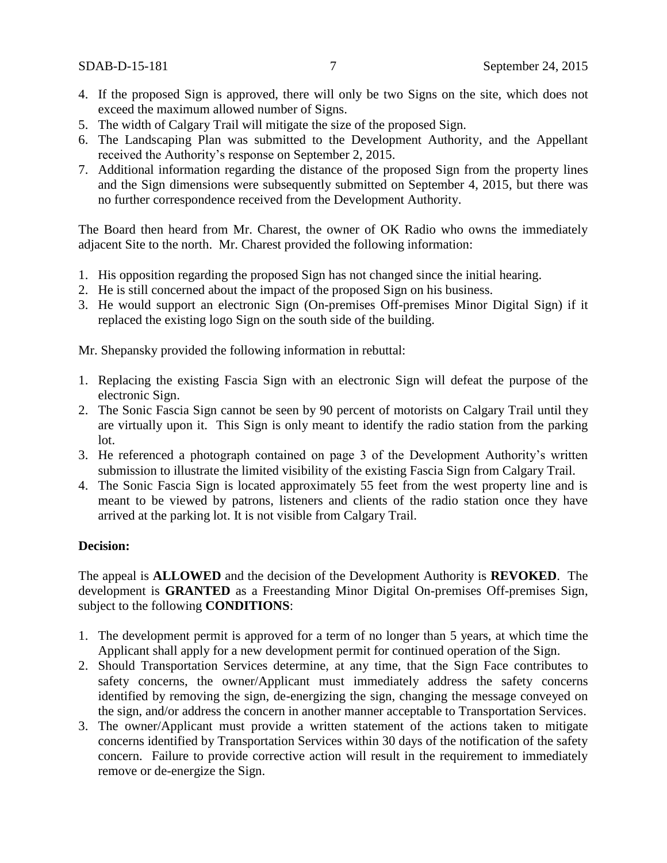- 4. If the proposed Sign is approved, there will only be two Signs on the site, which does not exceed the maximum allowed number of Signs.
- 5. The width of Calgary Trail will mitigate the size of the proposed Sign.
- 6. The Landscaping Plan was submitted to the Development Authority, and the Appellant received the Authority's response on September 2, 2015.
- 7. Additional information regarding the distance of the proposed Sign from the property lines and the Sign dimensions were subsequently submitted on September 4, 2015, but there was no further correspondence received from the Development Authority.

The Board then heard from Mr. Charest, the owner of OK Radio who owns the immediately adjacent Site to the north. Mr. Charest provided the following information:

- 1. His opposition regarding the proposed Sign has not changed since the initial hearing.
- 2. He is still concerned about the impact of the proposed Sign on his business.
- 3. He would support an electronic Sign (On-premises Off-premises Minor Digital Sign) if it replaced the existing logo Sign on the south side of the building.

Mr. Shepansky provided the following information in rebuttal:

- 1. Replacing the existing Fascia Sign with an electronic Sign will defeat the purpose of the electronic Sign.
- 2. The Sonic Fascia Sign cannot be seen by 90 percent of motorists on Calgary Trail until they are virtually upon it. This Sign is only meant to identify the radio station from the parking lot.
- 3. He referenced a photograph contained on page 3 of the Development Authority's written submission to illustrate the limited visibility of the existing Fascia Sign from Calgary Trail.
- 4. The Sonic Fascia Sign is located approximately 55 feet from the west property line and is meant to be viewed by patrons, listeners and clients of the radio station once they have arrived at the parking lot. It is not visible from Calgary Trail.

# **Decision:**

The appeal is **ALLOWED** and the decision of the Development Authority is **REVOKED**. The development is **GRANTED** as a Freestanding Minor Digital On-premises Off-premises Sign, subject to the following **CONDITIONS**:

- 1. The development permit is approved for a term of no longer than 5 years, at which time the Applicant shall apply for a new development permit for continued operation of the Sign.
- 2. Should Transportation Services determine, at any time, that the Sign Face contributes to safety concerns, the owner/Applicant must immediately address the safety concerns identified by removing the sign, de-energizing the sign, changing the message conveyed on the sign, and/or address the concern in another manner acceptable to Transportation Services.
- 3. The owner/Applicant must provide a written statement of the actions taken to mitigate concerns identified by Transportation Services within 30 days of the notification of the safety concern. Failure to provide corrective action will result in the requirement to immediately remove or de-energize the Sign.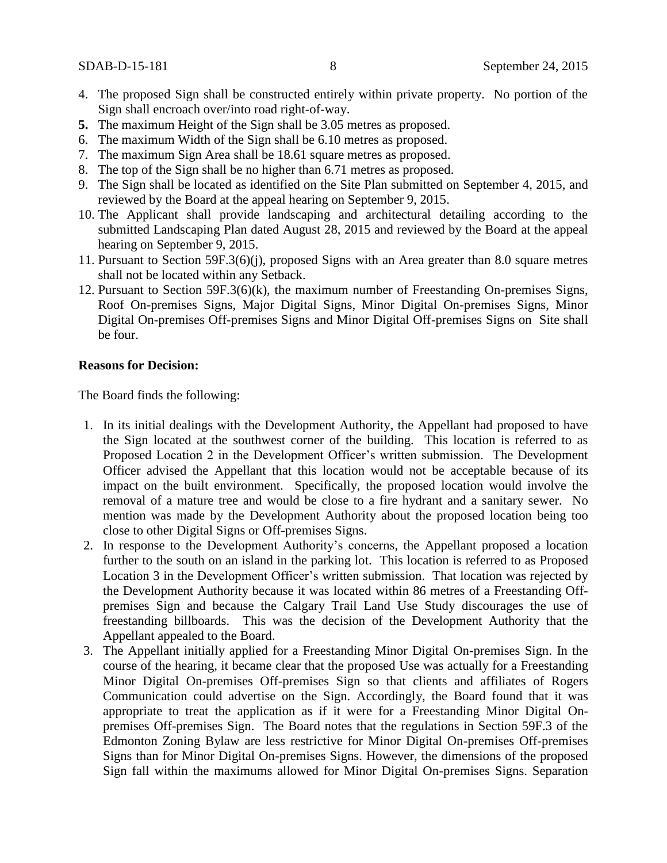- 4. The proposed Sign shall be constructed entirely within private property. No portion of the Sign shall encroach over/into road right-of-way.
- **5.** The maximum Height of the Sign shall be 3.05 metres as proposed.
- 6. The maximum Width of the Sign shall be 6.10 metres as proposed.
- 7. The maximum Sign Area shall be 18.61 square metres as proposed.
- 8. The top of the Sign shall be no higher than 6.71 metres as proposed.
- 9. The Sign shall be located as identified on the Site Plan submitted on September 4, 2015, and reviewed by the Board at the appeal hearing on September 9, 2015.
- 10. The Applicant shall provide landscaping and architectural detailing according to the submitted Landscaping Plan dated August 28, 2015 and reviewed by the Board at the appeal hearing on September 9, 2015.
- 11. Pursuant to Section 59F.3(6)(j), proposed Signs with an Area greater than 8.0 square metres shall not be located within any Setback.
- 12. Pursuant to Section 59F.3(6)(k), the maximum number of Freestanding On-premises Signs, Roof On-premises Signs, Major Digital Signs, Minor Digital On-premises Signs, Minor Digital On-premises Off-premises Signs and Minor Digital Off-premises Signs on Site shall be four.

#### **Reasons for Decision:**

The Board finds the following:

- 1. In its initial dealings with the Development Authority, the Appellant had proposed to have the Sign located at the southwest corner of the building. This location is referred to as Proposed Location 2 in the Development Officer's written submission. The Development Officer advised the Appellant that this location would not be acceptable because of its impact on the built environment. Specifically, the proposed location would involve the removal of a mature tree and would be close to a fire hydrant and a sanitary sewer. No mention was made by the Development Authority about the proposed location being too close to other Digital Signs or Off-premises Signs.
- 2. In response to the Development Authority's concerns, the Appellant proposed a location further to the south on an island in the parking lot. This location is referred to as Proposed Location 3 in the Development Officer's written submission. That location was rejected by the Development Authority because it was located within 86 metres of a Freestanding Offpremises Sign and because the Calgary Trail Land Use Study discourages the use of freestanding billboards. This was the decision of the Development Authority that the Appellant appealed to the Board.
- 3. The Appellant initially applied for a Freestanding Minor Digital On-premises Sign. In the course of the hearing, it became clear that the proposed Use was actually for a Freestanding Minor Digital On-premises Off-premises Sign so that clients and affiliates of Rogers Communication could advertise on the Sign. Accordingly, the Board found that it was appropriate to treat the application as if it were for a Freestanding Minor Digital Onpremises Off-premises Sign. The Board notes that the regulations in Section 59F.3 of the Edmonton Zoning Bylaw are less restrictive for Minor Digital On-premises Off-premises Signs than for Minor Digital On-premises Signs. However, the dimensions of the proposed Sign fall within the maximums allowed for Minor Digital On-premises Signs. Separation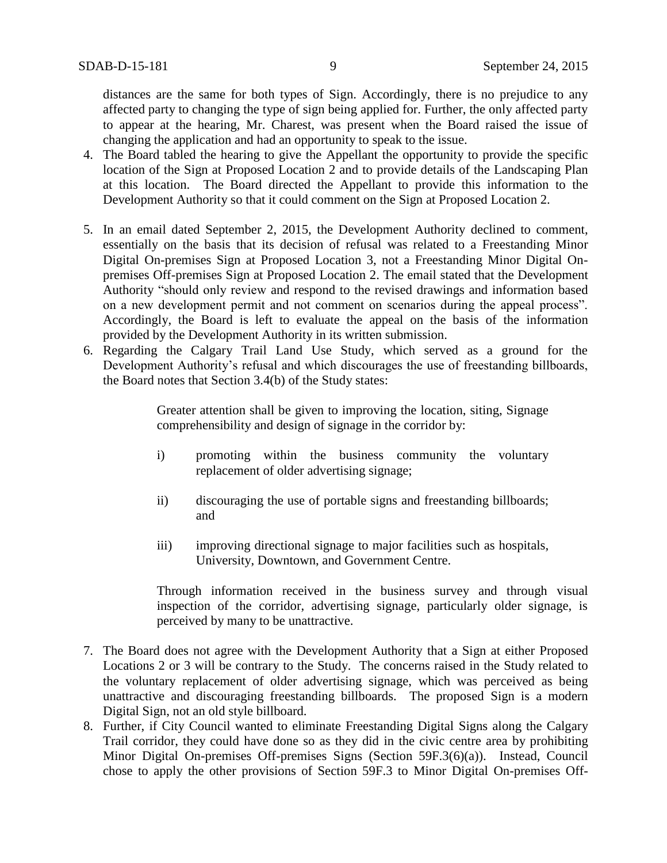distances are the same for both types of Sign. Accordingly, there is no prejudice to any affected party to changing the type of sign being applied for. Further, the only affected party to appear at the hearing, Mr. Charest, was present when the Board raised the issue of changing the application and had an opportunity to speak to the issue.

- 4. The Board tabled the hearing to give the Appellant the opportunity to provide the specific location of the Sign at Proposed Location 2 and to provide details of the Landscaping Plan at this location. The Board directed the Appellant to provide this information to the Development Authority so that it could comment on the Sign at Proposed Location 2.
- 5. In an email dated September 2, 2015, the Development Authority declined to comment, essentially on the basis that its decision of refusal was related to a Freestanding Minor Digital On-premises Sign at Proposed Location 3, not a Freestanding Minor Digital Onpremises Off-premises Sign at Proposed Location 2. The email stated that the Development Authority "should only review and respond to the revised drawings and information based on a new development permit and not comment on scenarios during the appeal process". Accordingly, the Board is left to evaluate the appeal on the basis of the information provided by the Development Authority in its written submission.
- 6. Regarding the Calgary Trail Land Use Study, which served as a ground for the Development Authority's refusal and which discourages the use of freestanding billboards, the Board notes that Section 3.4(b) of the Study states:

Greater attention shall be given to improving the location, siting, Signage comprehensibility and design of signage in the corridor by:

- i) promoting within the business community the voluntary replacement of older advertising signage;
- ii) discouraging the use of portable signs and freestanding billboards; and
- iii) improving directional signage to major facilities such as hospitals, University, Downtown, and Government Centre.

Through information received in the business survey and through visual inspection of the corridor, advertising signage, particularly older signage, is perceived by many to be unattractive.

- 7. The Board does not agree with the Development Authority that a Sign at either Proposed Locations 2 or 3 will be contrary to the Study. The concerns raised in the Study related to the voluntary replacement of older advertising signage, which was perceived as being unattractive and discouraging freestanding billboards. The proposed Sign is a modern Digital Sign, not an old style billboard.
- 8. Further, if City Council wanted to eliminate Freestanding Digital Signs along the Calgary Trail corridor, they could have done so as they did in the civic centre area by prohibiting Minor Digital On-premises Off-premises Signs (Section 59F.3(6)(a)). Instead, Council chose to apply the other provisions of Section 59F.3 to Minor Digital On-premises Off-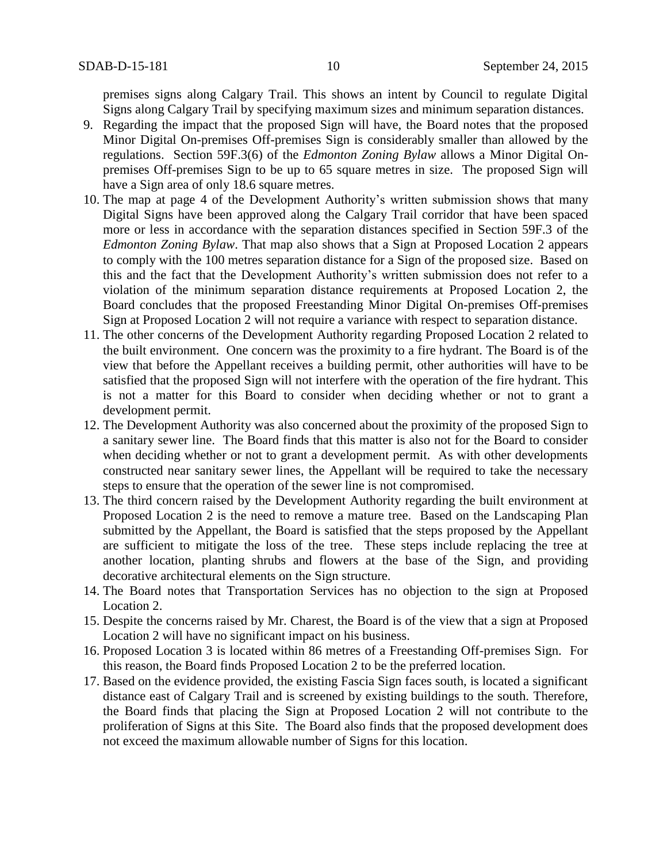premises signs along Calgary Trail. This shows an intent by Council to regulate Digital Signs along Calgary Trail by specifying maximum sizes and minimum separation distances.

- 9. Regarding the impact that the proposed Sign will have, the Board notes that the proposed Minor Digital On-premises Off-premises Sign is considerably smaller than allowed by the regulations. Section 59F.3(6) of the *Edmonton Zoning Bylaw* allows a Minor Digital Onpremises Off-premises Sign to be up to 65 square metres in size. The proposed Sign will have a Sign area of only 18.6 square metres.
- 10. The map at page 4 of the Development Authority's written submission shows that many Digital Signs have been approved along the Calgary Trail corridor that have been spaced more or less in accordance with the separation distances specified in Section 59F.3 of the *Edmonton Zoning Bylaw*. That map also shows that a Sign at Proposed Location 2 appears to comply with the 100 metres separation distance for a Sign of the proposed size. Based on this and the fact that the Development Authority's written submission does not refer to a violation of the minimum separation distance requirements at Proposed Location 2, the Board concludes that the proposed Freestanding Minor Digital On-premises Off-premises Sign at Proposed Location 2 will not require a variance with respect to separation distance.
- 11. The other concerns of the Development Authority regarding Proposed Location 2 related to the built environment. One concern was the proximity to a fire hydrant. The Board is of the view that before the Appellant receives a building permit, other authorities will have to be satisfied that the proposed Sign will not interfere with the operation of the fire hydrant. This is not a matter for this Board to consider when deciding whether or not to grant a development permit.
- 12. The Development Authority was also concerned about the proximity of the proposed Sign to a sanitary sewer line. The Board finds that this matter is also not for the Board to consider when deciding whether or not to grant a development permit. As with other developments constructed near sanitary sewer lines, the Appellant will be required to take the necessary steps to ensure that the operation of the sewer line is not compromised.
- 13. The third concern raised by the Development Authority regarding the built environment at Proposed Location 2 is the need to remove a mature tree. Based on the Landscaping Plan submitted by the Appellant, the Board is satisfied that the steps proposed by the Appellant are sufficient to mitigate the loss of the tree. These steps include replacing the tree at another location, planting shrubs and flowers at the base of the Sign, and providing decorative architectural elements on the Sign structure.
- 14. The Board notes that Transportation Services has no objection to the sign at Proposed Location 2.
- 15. Despite the concerns raised by Mr. Charest, the Board is of the view that a sign at Proposed Location 2 will have no significant impact on his business.
- 16. Proposed Location 3 is located within 86 metres of a Freestanding Off-premises Sign. For this reason, the Board finds Proposed Location 2 to be the preferred location.
- 17. Based on the evidence provided, the existing Fascia Sign faces south, is located a significant distance east of Calgary Trail and is screened by existing buildings to the south. Therefore, the Board finds that placing the Sign at Proposed Location 2 will not contribute to the proliferation of Signs at this Site. The Board also finds that the proposed development does not exceed the maximum allowable number of Signs for this location.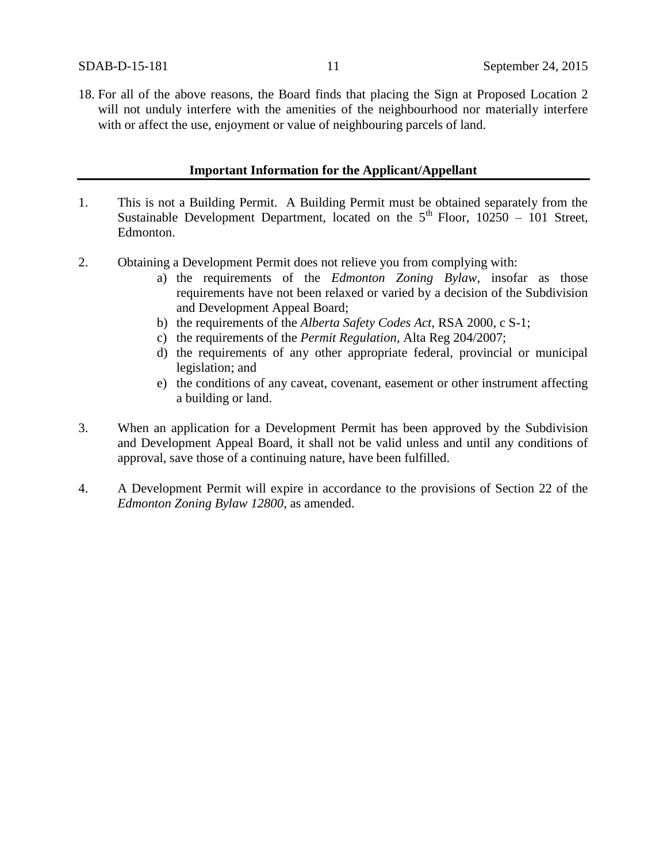18. For all of the above reasons, the Board finds that placing the Sign at Proposed Location 2 will not unduly interfere with the amenities of the neighbourhood nor materially interfere with or affect the use, enjoyment or value of neighbouring parcels of land.

#### **Important Information for the Applicant/Appellant**

- 1. This is not a Building Permit. A Building Permit must be obtained separately from the Sustainable Development Department, located on the  $5<sup>th</sup>$  Floor, 10250 – 101 Street, Edmonton.
- 2. Obtaining a Development Permit does not relieve you from complying with:
	- a) the requirements of the *Edmonton Zoning Bylaw*, insofar as those requirements have not been relaxed or varied by a decision of the Subdivision and Development Appeal Board;
	- b) the requirements of the *Alberta Safety Codes Act*, RSA 2000, c S-1;
	- c) the requirements of the *Permit Regulation*, Alta Reg 204/2007;
	- d) the requirements of any other appropriate federal, provincial or municipal legislation; and
	- e) the conditions of any caveat, covenant, easement or other instrument affecting a building or land.
- 3. When an application for a Development Permit has been approved by the Subdivision and Development Appeal Board, it shall not be valid unless and until any conditions of approval, save those of a continuing nature, have been fulfilled.
- 4. A Development Permit will expire in accordance to the provisions of Section 22 of the *Edmonton Zoning Bylaw 12800*, as amended.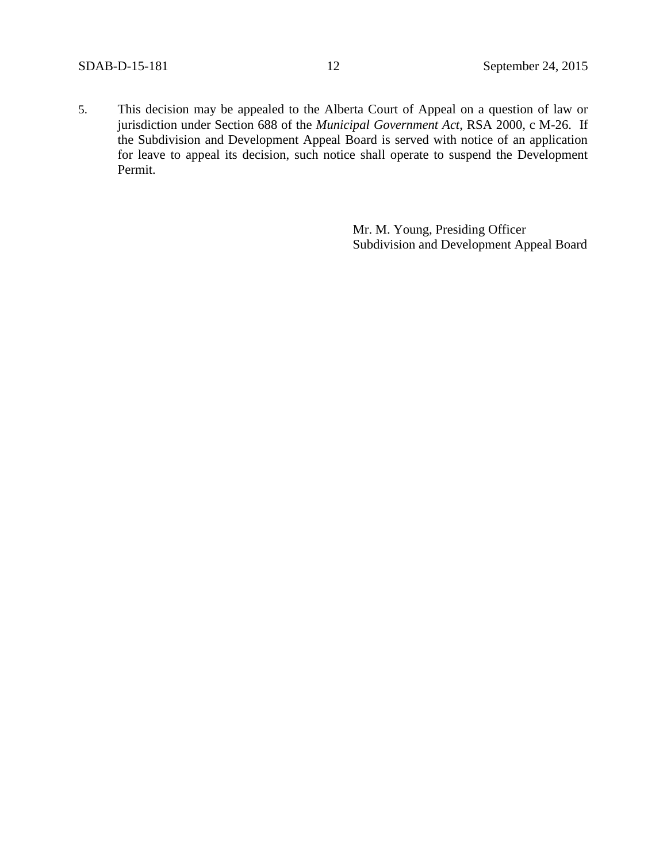5. This decision may be appealed to the Alberta Court of Appeal on a question of law or jurisdiction under Section 688 of the *Municipal Government Act*, RSA 2000, c M-26. If the Subdivision and Development Appeal Board is served with notice of an application for leave to appeal its decision, such notice shall operate to suspend the Development Permit.

> Mr. M. Young, Presiding Officer Subdivision and Development Appeal Board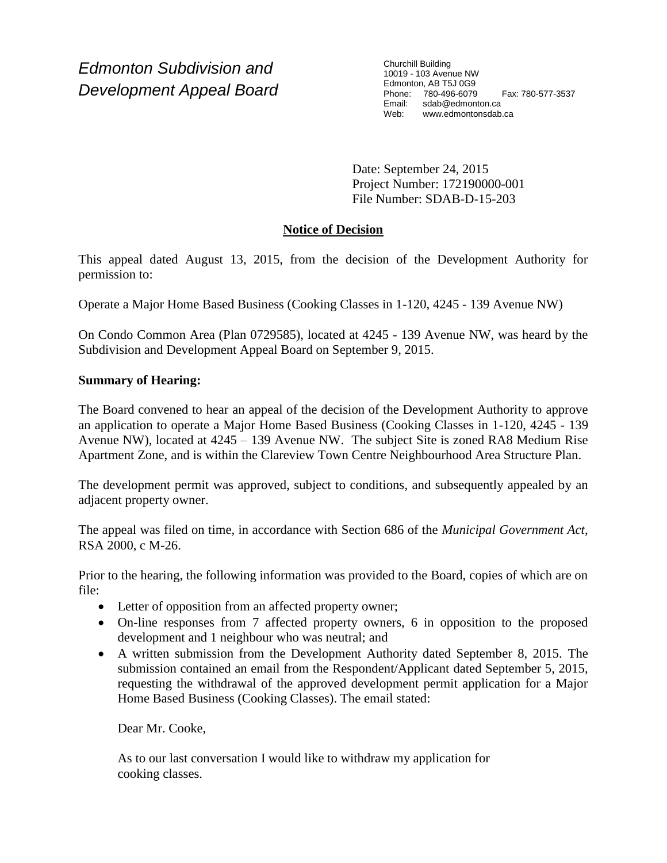*Edmonton Subdivision and Development Appeal Board* Churchill Building 10019 - 103 Avenue NW Edmonton, AB T5J 0G9 Phone: 780-496-6079 Fax: 780-577-3537 Email: sdab@edmonton.ca Web: www.edmontonsdab.ca

Date: September 24, 2015 Project Number: 172190000-001 File Number: SDAB-D-15-203

# **Notice of Decision**

This appeal dated August 13, 2015, from the decision of the Development Authority for permission to:

Operate a Major Home Based Business (Cooking Classes in 1-120, 4245 - 139 Avenue NW)

On Condo Common Area (Plan 0729585), located at 4245 - 139 Avenue NW, was heard by the Subdivision and Development Appeal Board on September 9, 2015.

# **Summary of Hearing:**

The Board convened to hear an appeal of the decision of the Development Authority to approve an application to operate a Major Home Based Business (Cooking Classes in 1-120, 4245 - 139 Avenue NW), located at 4245 – 139 Avenue NW. The subject Site is zoned RA8 Medium Rise Apartment Zone, and is within the Clareview Town Centre Neighbourhood Area Structure Plan.

The development permit was approved, subject to conditions, and subsequently appealed by an adjacent property owner.

The appeal was filed on time, in accordance with Section 686 of the *Municipal Government Act*, RSA 2000, c M-26.

Prior to the hearing, the following information was provided to the Board, copies of which are on file:

- Letter of opposition from an affected property owner;
- On-line responses from 7 affected property owners, 6 in opposition to the proposed development and 1 neighbour who was neutral; and
- A written submission from the Development Authority dated September 8, 2015. The submission contained an email from the Respondent/Applicant dated September 5, 2015, requesting the withdrawal of the approved development permit application for a Major Home Based Business (Cooking Classes). The email stated:

Dear Mr. Cooke,

As to our last conversation I would like to withdraw my application for cooking classes.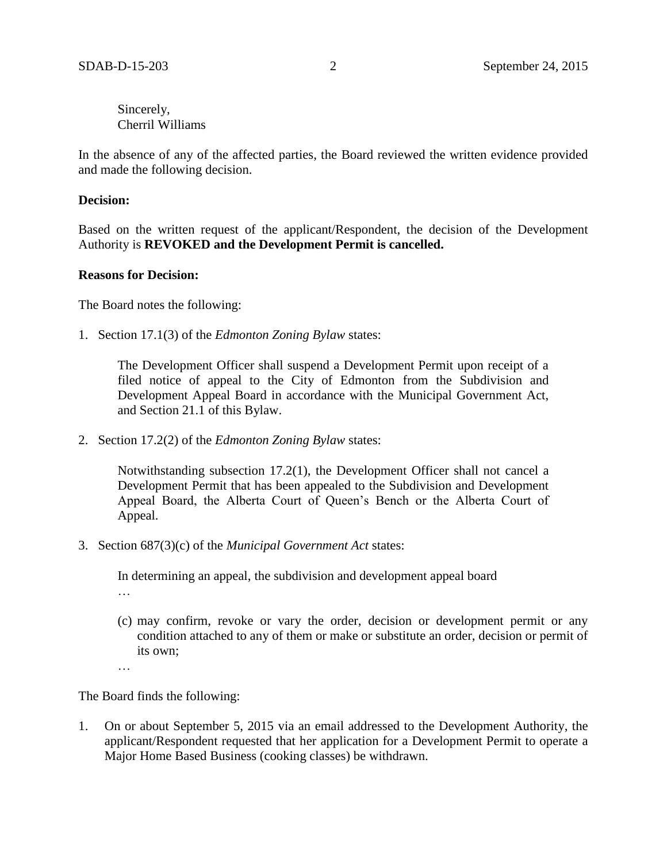Sincerely, Cherril Williams

In the absence of any of the affected parties, the Board reviewed the written evidence provided and made the following decision.

### **Decision:**

Based on the written request of the applicant/Respondent, the decision of the Development Authority is **REVOKED and the Development Permit is cancelled.**

#### **Reasons for Decision:**

The Board notes the following:

1. Section 17.1(3) of the *Edmonton Zoning Bylaw* states:

The Development Officer shall suspend a Development Permit upon receipt of a filed notice of appeal to the City of Edmonton from the Subdivision and Development Appeal Board in accordance with the Municipal Government Act, and Section 21.1 of this Bylaw.

2. Section 17.2(2) of the *Edmonton Zoning Bylaw* states:

Notwithstanding subsection 17.2(1), the Development Officer shall not cancel a Development Permit that has been appealed to the Subdivision and Development Appeal Board, the Alberta Court of Queen's Bench or the Alberta Court of Appeal.

3. Section 687(3)(c) of the *Municipal Government Act* states:

In determining an appeal, the subdivision and development appeal board

- …
- (c) may confirm, revoke or vary the order, decision or development permit or any condition attached to any of them or make or substitute an order, decision or permit of its own;
- …

The Board finds the following:

1. On or about September 5, 2015 via an email addressed to the Development Authority, the applicant/Respondent requested that her application for a Development Permit to operate a Major Home Based Business (cooking classes) be withdrawn.